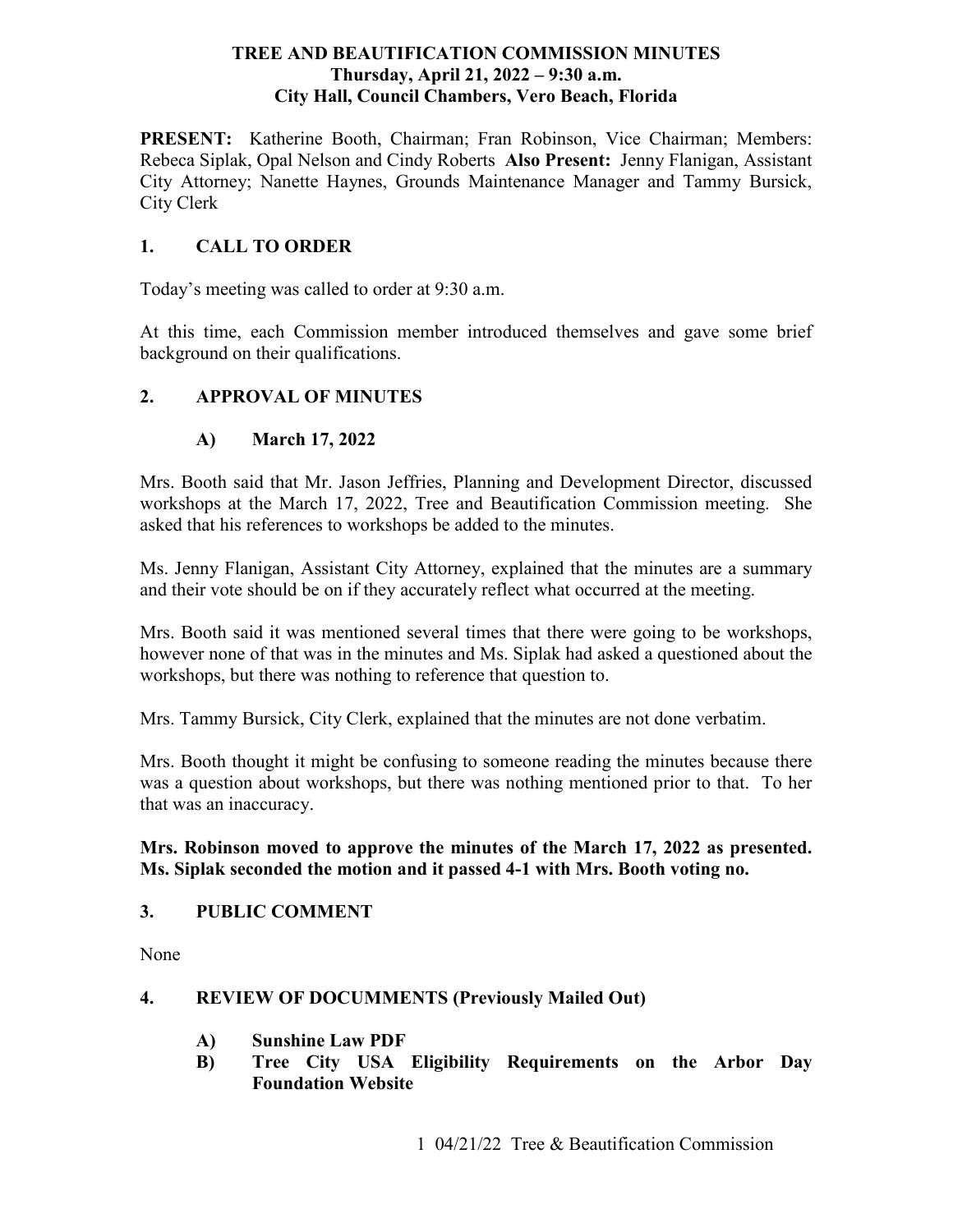#### **TREE AND BEAUTIFICATION COMMISSION MINUTES Thursday, April 21, 2022 – 9: 30 a.m. City Hall, Council Chambers, Vero Beach, Florida**

PRESENT: Katherine Booth, Chairman; Fran Robinson, Vice Chairman; Members: Rebeca Siplak, Opal Nelson and Cindy Roberts **Also Present:** Jenny Flanigan, Assistant City Attorney; Nanette Haynes, Grounds Maintenance Manager and Tammy Bursick, City Clerk

#### **1. CALL TO ORDER**

Today's meeting was called to order at 9:30 a.m.

At this time, each Commission member introduced themselves and gave some brief background on their qualifications.

#### **2. APPROVAL OF MINUTES**

#### **A) March 17, 2022**

Mrs. Booth said that Mr. Jason Jeffries, Planning and Development Director, discussed workshops at the March 17, 2022, Tree and Beautification Commission meeting. She asked that his references to workshops be added to the minutes.

 and their vote should be on if they accurately reflect what occurred at the meeting. Ms. Jenny Flanigan, Assistant City Attorney, explained that the minutes are a summary

 workshops, but there was nothing to reference that question to. Mrs. Booth said it was mentioned several times that there were going to be workshops, however none of that was in the minutes and Ms. Siplak had asked a questioned about the

Mrs. Tammy Bursick, City Clerk, explained that the minutes are not done verbatim.

Mrs. Booth thought it might be confusing to someone reading the minutes because there was a question about workshops, but there was nothing mentioned prior to that. To her that was an inaccuracy.

#### **Mrs. Robinson moved to approve the minutes of the March 17, 2022 as presented. Ms. Siplak seconded the motion and it passed 4-1 with Mrs. Booth voting no.**

#### **3. PUBLIC COMMENT**

None

#### **4. REVIEW OF DOCUMMENTS (Previously Mailed Out)**

- **A) Sunshine Law PDF**
- **B) Tree City USA Eligibility Requirements on the Arbor Day Foundation Website**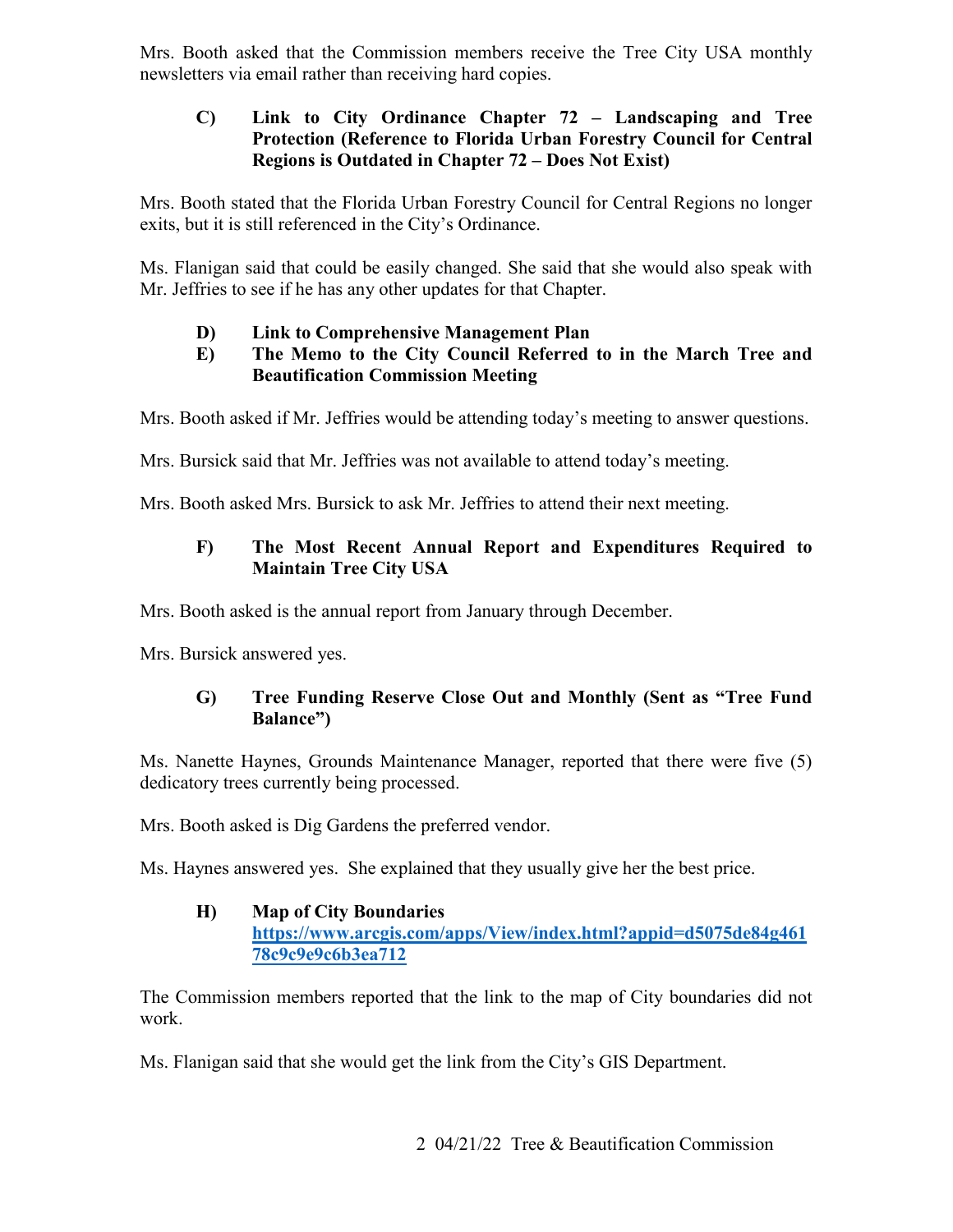newsletters via email rather than receiving hard copies. Mrs. Booth asked that the Commission members receive the Tree City USA monthly

#### **C) Link to City Ordinance Chapter 72 – Landscaping and Tree Protection (Reference to Florida Urban Forestry Council for Central Regions is Outdated in Chapter 72 – Does Not Exist)**

 exits, but it is still referenced in the City's Ordinance. Mrs. Booth stated that the Florida Urban Forestry Council for Central Regions no longer

Ms. Flanigan said that could be easily changed. She said that she would also speak with Mr. Jeffries to see if he has any other updates for that Chapter.

# **D) Link to Comprehensive Management Plan**

#### **E) The Memo to the City Council Referred to in the March Tree and Beautification Commission Meeting**

Mrs. Booth asked if Mr. Jeffries would be attending today's meeting to answer questions.

Mrs. Bursick said that Mr. Jeffries was not available to attend today's meeting.

Mrs. Booth asked Mrs. Bursick to ask Mr. Jeffries to attend their next meeting.

# **F) The Most Recent Annual Report and Expenditures Required to Maintain Tree City USA**

Mrs. Booth asked is the annual report from January through December.

Mrs. Bursick answered yes.

# **G) Tree Funding Reserve Close Out and Monthly (Sent as "Tree Fund Balance")**

Ms. Nanette Haynes, Grounds Maintenance Manager, reported that there were five (5) dedicatory trees currently being processed.

Mrs. Booth asked is Dig Gardens the preferred vendor.

Ms. Haynes answered yes. She explained that they usually give her the best price.

# **H) Map of City Boundaries**

**[https://www.arcgis.com/apps/View/index.html?appid=d5075de84g461](https://www.arcgis.com/apps/View/index.html?appid=d5075de84g46178c9c9e9c6b3ea712)  [78c9c9e9c6b3ea712](https://www.arcgis.com/apps/View/index.html?appid=d5075de84g46178c9c9e9c6b3ea712)** 

 The Commission members reported that the link to the map of City boundaries did not work.

Ms. Flanigan said that she would get the link from the City's GIS Department.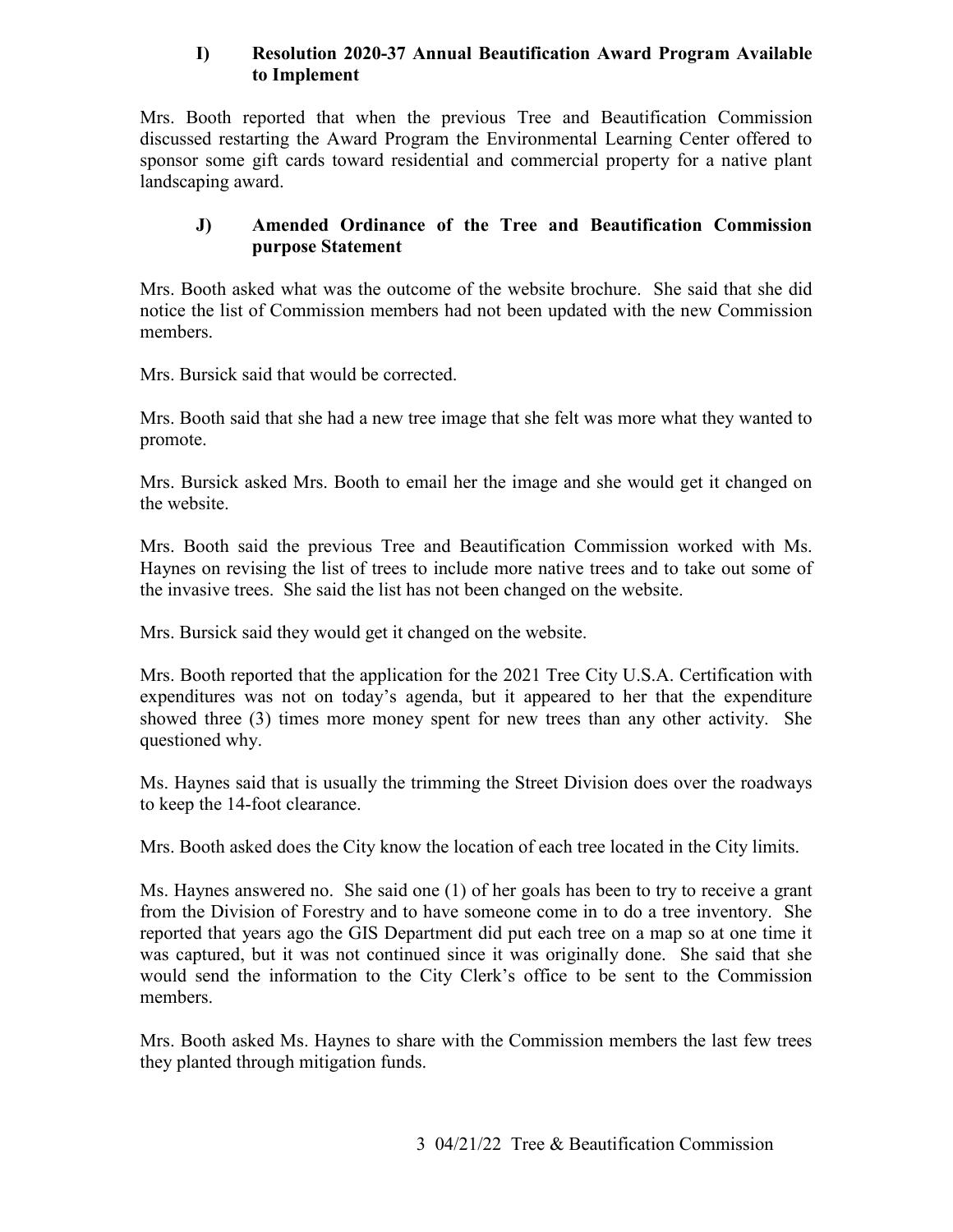#### **I) Resolution 2020-37 Annual Beautification Award Program Available to Implement**

 sponsor some gift cards toward residential and commercial property for a native plant landscaping award. Mrs. Booth reported that when the previous Tree and Beautification Commission discussed restarting the Award Program the Environmental Learning Center offered to

#### **J) Amended Ordinance of the Tree and Beautification Commission purpose Statement**

Mrs. Booth asked what was the outcome of the website brochure. She said that she did notice the list of Commission members had not been updated with the new Commission members.

Mrs. Bursick said that would be corrected.

Mrs. Booth said that she had a new tree image that she felt was more what they wanted to promote.

Mrs. Bursick asked Mrs. Booth to email her the image and she would get it changed on the website.

Mrs. Booth said the previous Tree and Beautification Commission worked with Ms. Haynes on revising the list of trees to include more native trees and to take out some of the invasive trees. She said the list has not been changed on the website.

Mrs. Bursick said they would get it changed on the website.

 showed three (3) times more money spent for new trees than any other activity. She Mrs. Booth reported that the application for the 2021 Tree City U.S.A. Certification with expenditures was not on today's agenda, but it appeared to her that the expenditure questioned why.

 to keep the 14-foot clearance. Ms. Haynes said that is usually the trimming the Street Division does over the roadways

Mrs. Booth asked does the City know the location of each tree located in the City limits.

 from the Division of Forestry and to have someone come in to do a tree inventory. She Ms. Haynes answered no. She said one (1) of her goals has been to try to receive a grant reported that years ago the GIS Department did put each tree on a map so at one time it was captured, but it was not continued since it was originally done. She said that she would send the information to the City Clerk's office to be sent to the Commission members.

Mrs. Booth asked Ms. Haynes to share with the Commission members the last few trees they planted through mitigation funds.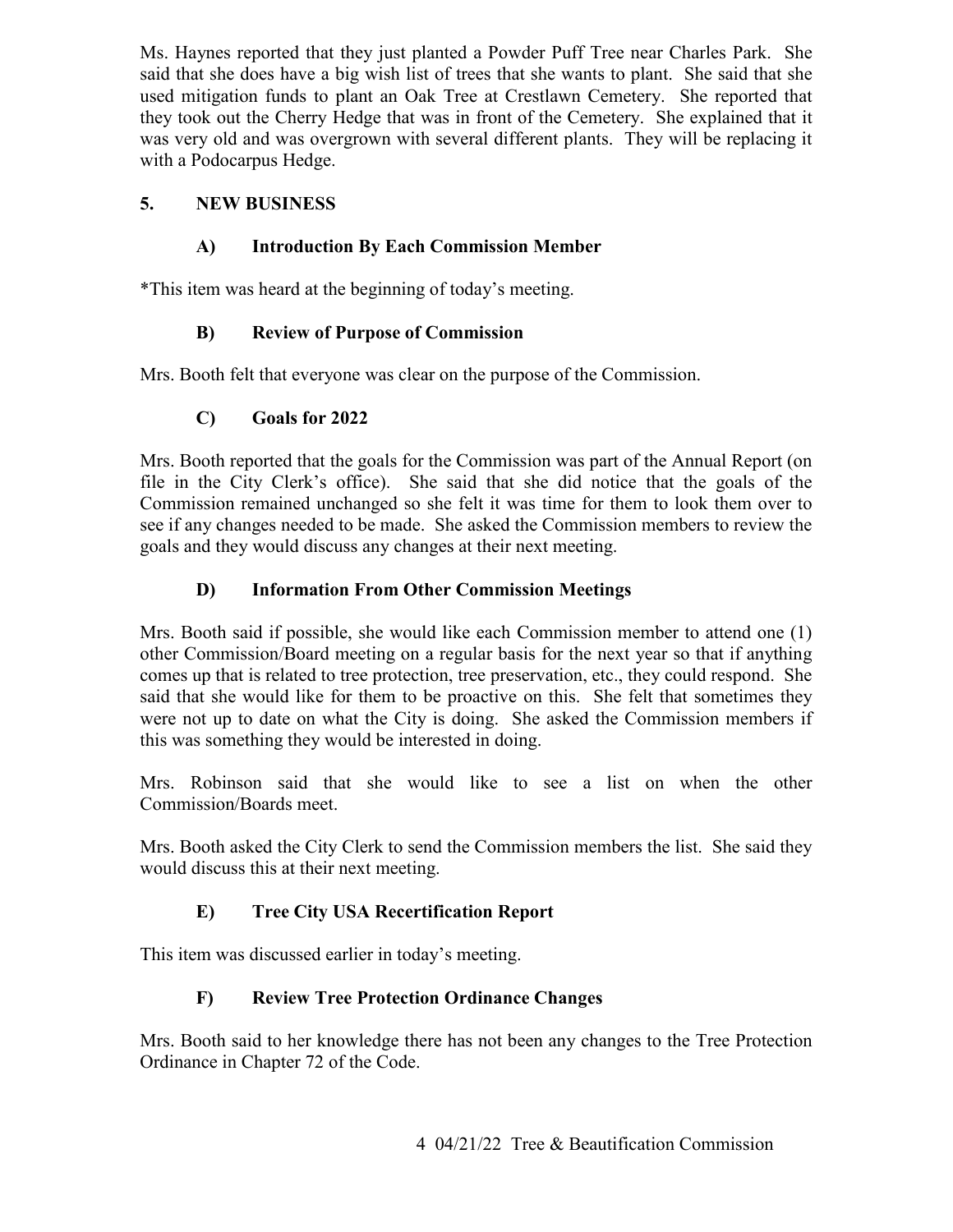said that she does have a big wish list of trees that she wants to plant. She said that she Ms. Haynes reported that they just planted a Powder Puff Tree near Charles Park. She used mitigation funds to plant an Oak Tree at Crestlawn Cemetery. She reported that they took out the Cherry Hedge that was in front of the Cemetery. She explained that it was very old and was overgrown with several different plants. They will be replacing it with a Podocarpus Hedge.

#### **5. NEW BUSINESS**

# **A) Introduction By Each Commission Member**

\*This item was heard at the beginning of today's meeting.

# **B) Review of Purpose of Commission**

Mrs. Booth felt that everyone was clear on the purpose of the Commission.

# **C) Goals for 2022**

Mrs. Booth reported that the goals for the Commission was part of the Annual Report (on file in the City Clerk's office). She said that she did notice that the goals of the Commission remained unchanged so she felt it was time for them to look them over to see if any changes needed to be made. She asked the Commission members to review the goals and they would discuss any changes at their next meeting.

# **D) Information From Other Commission Meetings**

Mrs. Booth said if possible, she would like each Commission member to attend one (1) other Commission/Board meeting on a regular basis for the next year so that if anything comes up that is related to tree protection, tree preservation, etc., they could respond. She said that she would like for them to be proactive on this. She felt that sometimes they were not up to date on what the City is doing. She asked the Commission members if this was something they would be interested in doing.

Mrs. Robinson said that she would like to see a list on when the other Commission/Boards meet.

Mrs. Booth asked the City Clerk to send the Commission members the list. She said they would discuss this at their next meeting.

# **E) Tree City USA Recertification Report**

This item was discussed earlier in today's meeting.

# **F) Review Tree Protection Ordinance Changes**

Mrs. Booth said to her knowledge there has not been any changes to the Tree Protection Ordinance in Chapter 72 of the Code.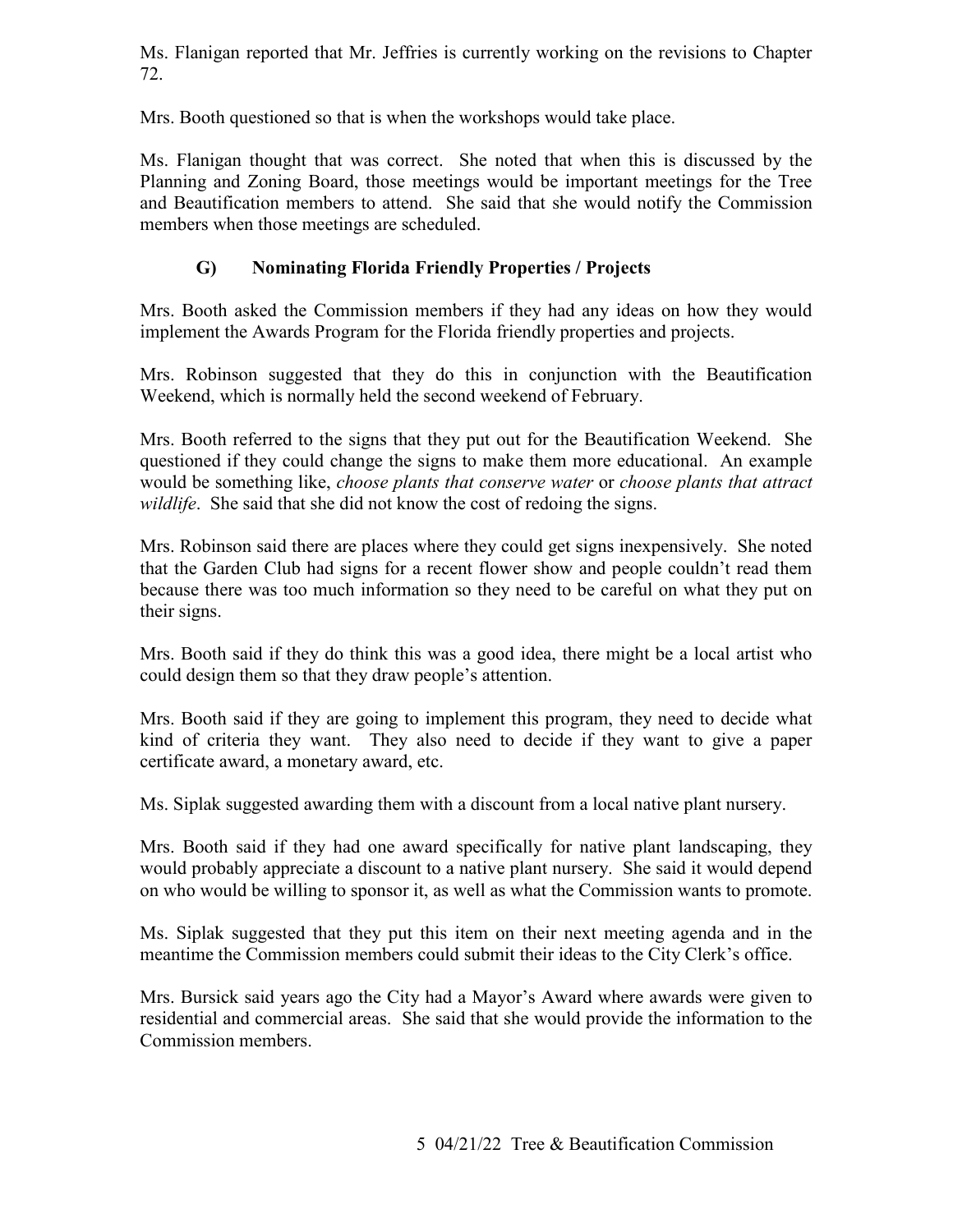Ms. Flanigan reported that Mr. Jeffries is currently working on the revisions to Chapter 72.

Mrs. Booth questioned so that is when the workshops would take place.

Ms. Flanigan thought that was correct. She noted that when this is discussed by the Planning and Zoning Board, those meetings would be important meetings for the Tree and Beautification members to attend. She said that she would notify the Commission members when those meetings are scheduled.

#### **G) Nominating Florida Friendly Properties / Projects**

 Mrs. Booth asked the Commission members if they had any ideas on how they would implement the Awards Program for the Florida friendly properties and projects.

Mrs. Robinson suggested that they do this in conjunction with the Beautification Weekend, which is normally held the second weekend of February.

Mrs. Booth referred to the signs that they put out for the Beautification Weekend. She questioned if they could change the signs to make them more educational. An example would be something like, *choose plants that conserve water* or *choose plants that attract wildlife*. She said that she did not know the cost of redoing the signs.

Mrs. Robinson said there are places where they could get signs inexpensively. She noted that the Garden Club had signs for a recent flower show and people couldn't read them because there was too much information so they need to be careful on what they put on their signs.

Mrs. Booth said if they do think this was a good idea, there might be a local artist who could design them so that they draw people's attention.

 Mrs. Booth said if they are going to implement this program, they need to decide what certificate award, a monetary award, etc. kind of criteria they want. They also need to decide if they want to give a paper

Ms. Siplak suggested awarding them with a discount from a local native plant nursery.

Mrs. Booth said if they had one award specifically for native plant landscaping, they would probably appreciate a discount to a native plant nursery. She said it would depend

 on who would be willing to sponsor it, as well as what the Commission wants to promote. Ms. Siplak suggested that they put this item on their next meeting agenda and in the meantime the Commission members could submit their ideas to the City Clerk's office.

 Mrs. Bursick said years ago the City had a Mayor's Award where awards were given to residential and commercial areas. She said that she would provide the information to the Commission members.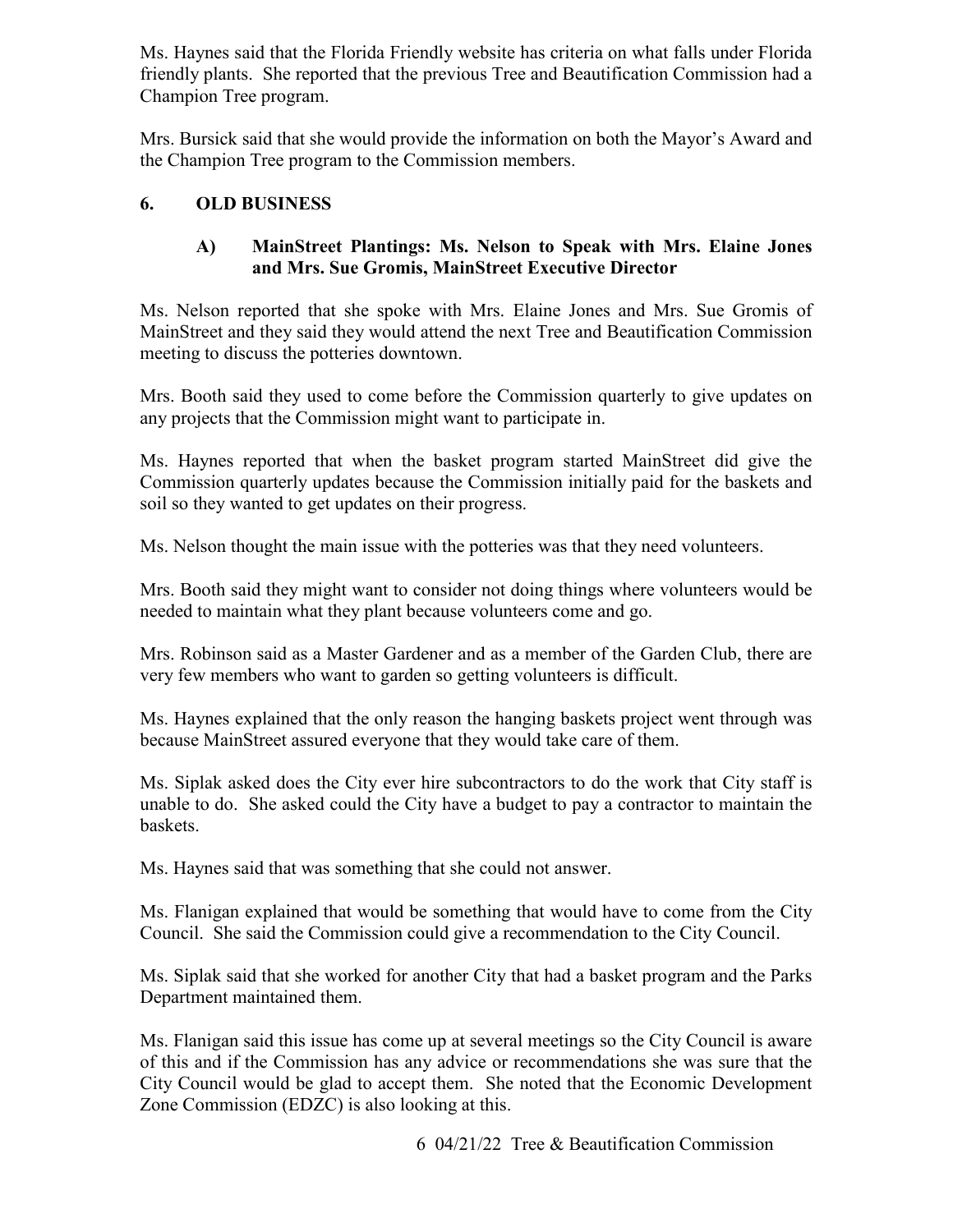Ms. Haynes said that the Florida Friendly website has criteria on what falls under Florida friendly plants. She reported that the previous Tree and Beautification Commission had a Champion Tree program.

Mrs. Bursick said that she would provide the information on both the Mayor's Award and the Champion Tree program to the Commission members.

#### **6. OLD BUSINESS**

#### **A) MainStreet Plantings: Ms. Nelson to Speak with Mrs. Elaine Jones and Mrs. Sue Gromis, MainStreet Executive Director**

Ms. Nelson reported that she spoke with Mrs. Elaine Jones and Mrs. Sue Gromis of MainStreet and they said they would attend the next Tree and Beautification Commission meeting to discuss the potteries downtown.

Mrs. Booth said they used to come before the Commission quarterly to give updates on any projects that the Commission might want to participate in.

Ms. Haynes reported that when the basket program started MainStreet did give the Commission quarterly updates because the Commission initially paid for the baskets and soil so they wanted to get updates on their progress.

Ms. Nelson thought the main issue with the potteries was that they need volunteers.

Mrs. Booth said they might want to consider not doing things where volunteers would be needed to maintain what they plant because volunteers come and go.

Mrs. Robinson said as a Master Gardener and as a member of the Garden Club, there are very few members who want to garden so getting volunteers is difficult.

because MainStreet assured everyone that they would take care of them. Ms. Haynes explained that the only reason the hanging baskets project went through was

Ms. Siplak asked does the City ever hire subcontractors to do the work that City staff is unable to do. She asked could the City have a budget to pay a contractor to maintain the baskets.

Ms. Haynes said that was something that she could not answer.

 Council. She said the Commission could give a recommendation to the City Council. Ms. Flanigan explained that would be something that would have to come from the City

 Ms. Siplak said that she worked for another City that had a basket program and the Parks Department maintained them.

 Ms. Flanigan said this issue has come up at several meetings so the City Council is aware of this and if the Commission has any advice or recommendations she was sure that the City Council would be glad to accept them. She noted that the Economic Development Zone Commission (EDZC) is also looking at this.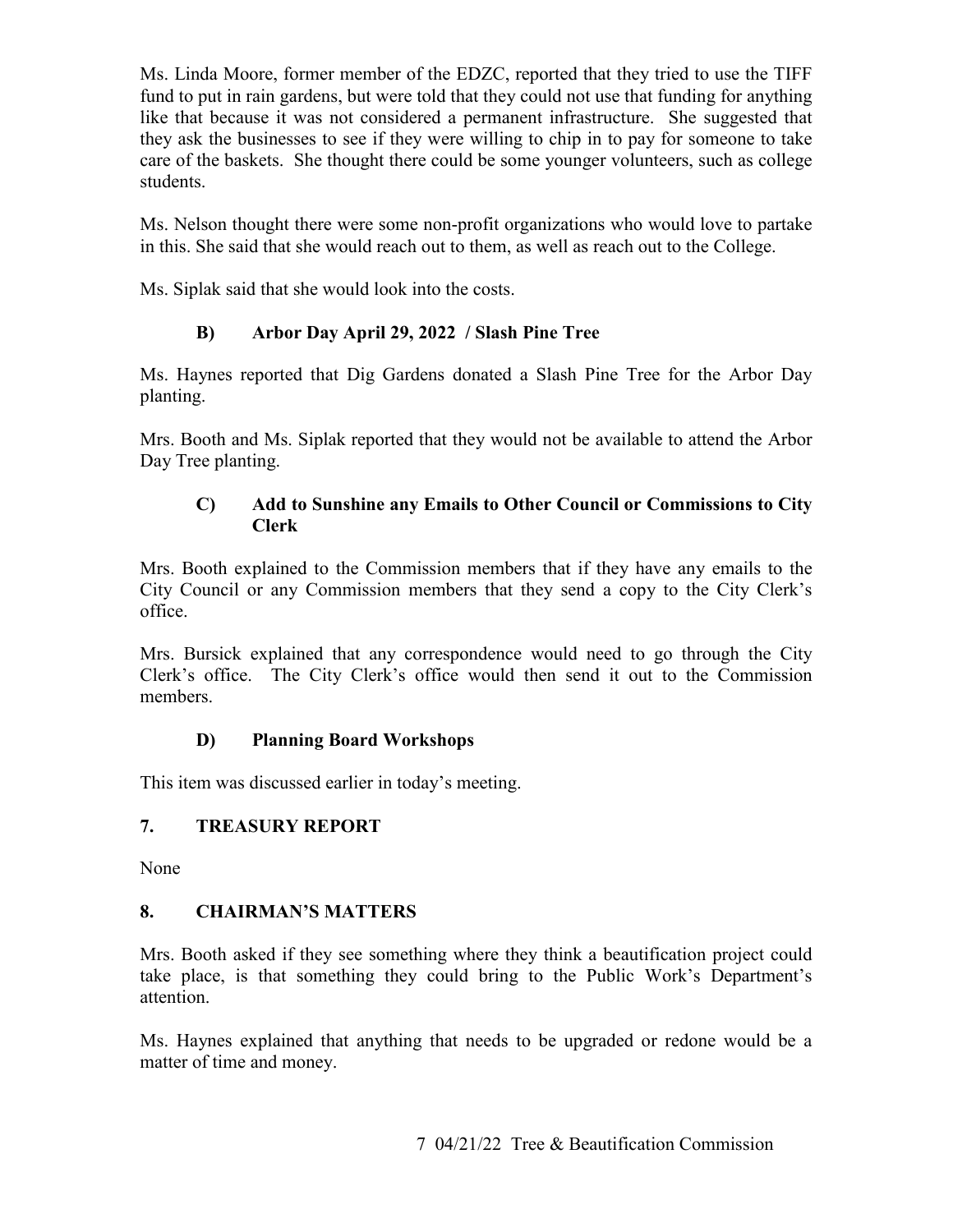fund to put in rain gardens, but were told that they could not use that funding for anything Ms. Linda Moore, former member of the EDZC, reported that they tried to use the TIFF like that because it was not considered a permanent infrastructure. She suggested that they ask the businesses to see if they were willing to chip in to pay for someone to take care of the baskets. She thought there could be some younger volunteers, such as college students.

Ms. Nelson thought there were some non-profit organizations who would love to partake in this. She said that she would reach out to them, as well as reach out to the College.

Ms. Siplak said that she would look into the costs.

# **B) Arbor Day April 29, 2022 / Slash Pine Tree**

Ms. Haynes reported that Dig Gardens donated a Slash Pine Tree for the Arbor Day planting.

 Mrs. Booth and Ms. Siplak reported that they would not be available to attend the Arbor Day Tree planting.

#### **C) Add to Sunshine any Emails to Other Council or Commissions to City Clerk**

Mrs. Booth explained to the Commission members that if they have any emails to the City Council or any Commission members that they send a copy to the City Clerk's office.

Mrs. Bursick explained that any correspondence would need to go through the City Clerk's office. The City Clerk's office would then send it out to the Commission members.

# **D) Planning Board Workshops**

This item was discussed earlier in today's meeting.

# **7. TREASURY REPORT**

None

# **8. CHAIRMAN'S MATTERS**

Mrs. Booth asked if they see something where they think a beautification project could take place, is that something they could bring to the Public Work's Department's attention.

matter of time and money. Ms. Haynes explained that anything that needs to be upgraded or redone would be a matter of time and money.<br>
7 04/21/22 Tree & Beautification Commission